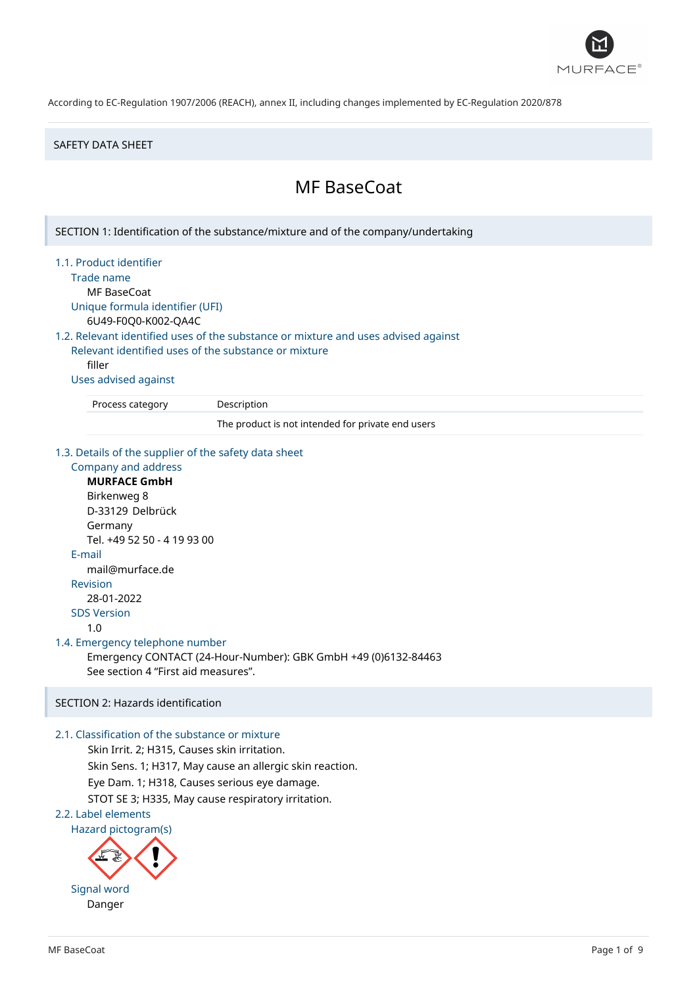

### SAFETY DATA SHEET

# MF BaseCoat

SECTION 1: Identification of the substance/mixture and of the company/undertaking 1.1. Product identifier Trade name MF BaseCoat Unique formula identifier (UFI) 6U49-F0Q0-K002-QA4C 1.2. Relevant identified uses of the substance or mixture and uses advised against Relevant identified uses of the substance or mixture filler

Uses advised against

Process category Description

The product is not intended for private end users

1.3. Details of the supplier of the safety data sheet

Company and address **MURFACE GmbH** Birkenweg 8 D-33129 Delbrück Germany Tel. +49 52 50 - 4 19 93 00 E-mail mail@murface.de Revision 28-01-2022 SDS Version 1.0 1.4. Emergency telephone number Emergency CONTACT (24-Hour-Number): GBK GmbH +49 (0)6132-84463 See section 4 "First aid measures".

## SECTION 2: Hazards identification

## 2.1. Classification of the substance or mixture

Skin Irrit. 2; H315, Causes skin irritation. Skin Sens. 1; H317, May cause an allergic skin reaction. Eye Dam. 1; H318, Causes serious eye damage. STOT SE 3; H335, May cause respiratory irritation.

2.2. Label elements

Hazard pictogram(s)

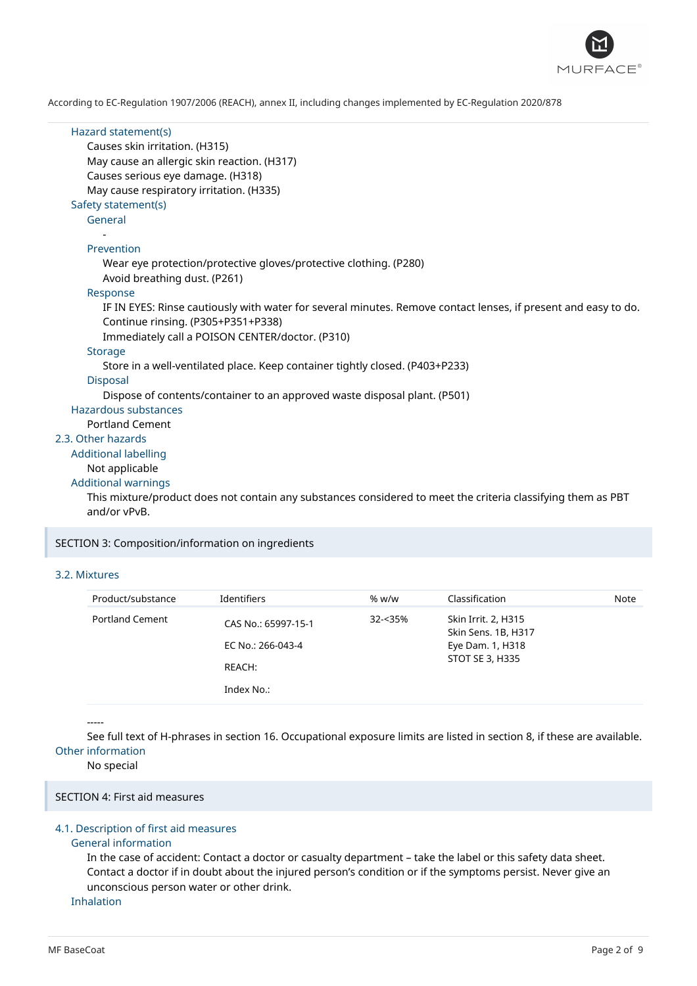

| Hazard statement(s)<br>Causes skin irritation. (H315)                                                          |
|----------------------------------------------------------------------------------------------------------------|
| May cause an allergic skin reaction. (H317)                                                                    |
| Causes serious eye damage. (H318)                                                                              |
|                                                                                                                |
| May cause respiratory irritation. (H335)                                                                       |
| Safety statement(s)                                                                                            |
| General                                                                                                        |
|                                                                                                                |
| Prevention                                                                                                     |
| Wear eye protection/protective gloves/protective clothing. (P280)                                              |
| Avoid breathing dust. (P261)                                                                                   |
| Response                                                                                                       |
| IF IN EYES: Rinse cautiously with water for several minutes. Remove contact lenses, if present and easy to do. |
| Continue rinsing. (P305+P351+P338)                                                                             |
| Immediately call a POISON CENTER/doctor. (P310)                                                                |
| Storage                                                                                                        |
| Store in a well-ventilated place. Keep container tightly closed. (P403+P233)                                   |
| <b>Disposal</b>                                                                                                |
| Dispose of contents/container to an approved waste disposal plant. (P501)                                      |
| Hazardous substances                                                                                           |
| <b>Portland Cement</b>                                                                                         |
| 2.3. Other hazards                                                                                             |
| <b>Additional labelling</b>                                                                                    |
| Not applicable                                                                                                 |
| <b>Additional warnings</b>                                                                                     |
| This mixture/product does not contain any substances considered to meet the criteria classifying them as PBT   |
| and/or vPvB.                                                                                                   |
|                                                                                                                |

SECTION 3: Composition/information on ingredients

### 3.2. Mixtures

| Product/substance      | Identifiers                                        | % w/w   | Classification                                                                    | Note |
|------------------------|----------------------------------------------------|---------|-----------------------------------------------------------------------------------|------|
| <b>Portland Cement</b> | CAS No.: 65997-15-1<br>EC No.: 266-043-4<br>REACH: | 32-<35% | Skin Irrit. 2, H315<br>Skin Sens. 1B, H317<br>Eye Dam. 1, H318<br>STOT SE 3, H335 |      |
|                        | Index No.:                                         |         |                                                                                   |      |

#### -----

See full text of H-phrases in section 16. Occupational exposure limits are listed in section 8, if these are available. Other information

### No special

SECTION 4: First aid measures

## 4.1. Description of first aid measures

### General information

In the case of accident: Contact a doctor or casualty department – take the label or this safety data sheet. Contact a doctor if in doubt about the injured person's condition or if the symptoms persist. Never give an unconscious person water or other drink.

Inhalation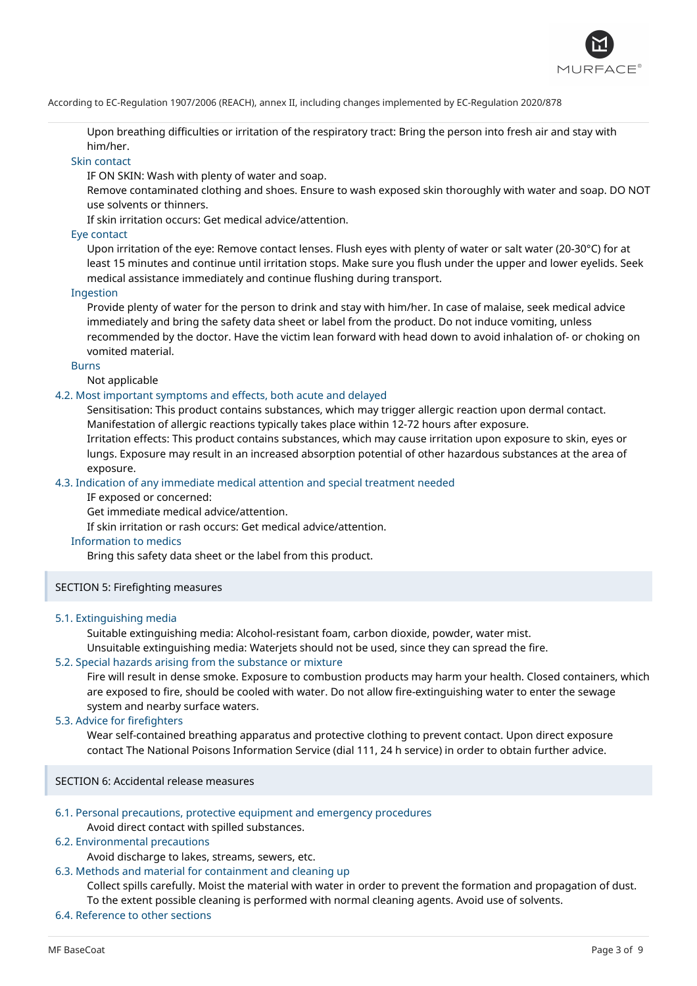

Upon breathing difficulties or irritation of the respiratory tract: Bring the person into fresh air and stay with him/her.

## Skin contact

IF ON SKIN: Wash with plenty of water and soap.

Remove contaminated clothing and shoes. Ensure to wash exposed skin thoroughly with water and soap. DO NOT use solvents or thinners.

If skin irritation occurs: Get medical advice/attention.

### Eye contact

Upon irritation of the eye: Remove contact lenses. Flush eyes with plenty of water or salt water (20-30°C) for at least 15 minutes and continue until irritation stops. Make sure you flush under the upper and lower eyelids. Seek medical assistance immediately and continue flushing during transport.

### Ingestion

Provide plenty of water for the person to drink and stay with him/her. In case of malaise, seek medical advice immediately and bring the safety data sheet or label from the product. Do not induce vomiting, unless recommended by the doctor. Have the victim lean forward with head down to avoid inhalation of- or choking on vomited material.

### Burns

Not applicable

## 4.2. Most important symptoms and effects, both acute and delayed

Sensitisation: This product contains substances, which may trigger allergic reaction upon dermal contact. Manifestation of allergic reactions typically takes place within 12-72 hours after exposure.

Irritation effects: This product contains substances, which may cause irritation upon exposure to skin, eyes or lungs. Exposure may result in an increased absorption potential of other hazardous substances at the area of exposure.

### 4.3. Indication of any immediate medical attention and special treatment needed

IF exposed or concerned:

Get immediate medical advice/attention.

If skin irritation or rash occurs: Get medical advice/attention.

### Information to medics

Bring this safety data sheet or the label from this product.

## SECTION 5: Firefighting measures

#### 5.1. Extinguishing media

Suitable extinguishing media: Alcohol-resistant foam, carbon dioxide, powder, water mist. Unsuitable extinguishing media: Waterjets should not be used, since they can spread the fire.

## 5.2. Special hazards arising from the substance or mixture

Fire will result in dense smoke. Exposure to combustion products may harm your health. Closed containers, which are exposed to fire, should be cooled with water. Do not allow fire-extinguishing water to enter the sewage system and nearby surface waters.

### 5.3. Advice for firefighters

Wear self-contained breathing apparatus and protective clothing to prevent contact. Upon direct exposure contact The National Poisons Information Service (dial 111, 24 h service) in order to obtain further advice.

SECTION 6: Accidental release measures

## 6.1. Personal precautions, protective equipment and emergency procedures

Avoid direct contact with spilled substances.

## 6.2. Environmental precautions

Avoid discharge to lakes, streams, sewers, etc.

## 6.3. Methods and material for containment and cleaning up

Collect spills carefully. Moist the material with water in order to prevent the formation and propagation of dust. To the extent possible cleaning is performed with normal cleaning agents. Avoid use of solvents.

6.4. Reference to other sections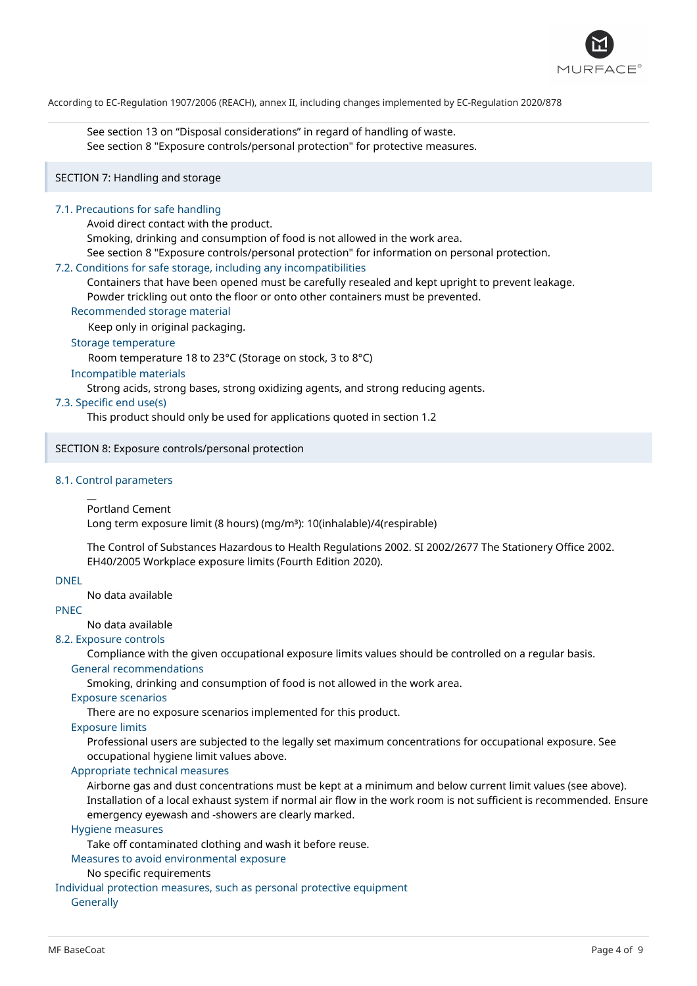

See section 13 on "Disposal considerations" in regard of handling of waste. See section 8 "Exposure controls/personal protection" for protective measures.

## SECTION 7: Handling and storage

### 7.1. Precautions for safe handling

Avoid direct contact with the product.

Smoking, drinking and consumption of food is not allowed in the work area.

See section 8 "Exposure controls/personal protection" for information on personal protection.

### 7.2. Conditions for safe storage, including any incompatibilities

Containers that have been opened must be carefully resealed and kept upright to prevent leakage.

Powder trickling out onto the floor or onto other containers must be prevented.

#### Recommended storage material

Keep only in original packaging.

## Storage temperature

Room temperature 18 to 23°C (Storage on stock, 3 to 8°C)

### Incompatible materials

Strong acids, strong bases, strong oxidizing agents, and strong reducing agents.

## 7.3. Specific end use(s)

This product should only be used for applications quoted in section 1.2

### SECTION 8: Exposure controls/personal protection

## 8.1. Control parameters

#### $\overline{a}$ Portland Cement

Long term exposure limit (8 hours) (mg/m<sup>3</sup>): 10(inhalable)/4(respirable)

The Control of Substances Hazardous to Health Regulations 2002. SI 2002/2677 The Stationery Office 2002. EH40/2005 Workplace exposure limits (Fourth Edition 2020).

### DNEL

No data available

## PNEC

No data available

## 8.2. Exposure controls

Compliance with the given occupational exposure limits values should be controlled on a regular basis.

## General recommendations

Smoking, drinking and consumption of food is not allowed in the work area.

## Exposure scenarios

There are no exposure scenarios implemented for this product.

## Exposure limits

Professional users are subjected to the legally set maximum concentrations for occupational exposure. See occupational hygiene limit values above.

### Appropriate technical measures

Airborne gas and dust concentrations must be kept at a minimum and below current limit values (see above). Installation of a local exhaust system if normal air flow in the work room is not sufficient is recommended. Ensure emergency eyewash and -showers are clearly marked.

### Hygiene measures

Take off contaminated clothing and wash it before reuse.

Measures to avoid environmental exposure

## No specific requirements

Individual protection measures, such as personal protective equipment

## **Generally**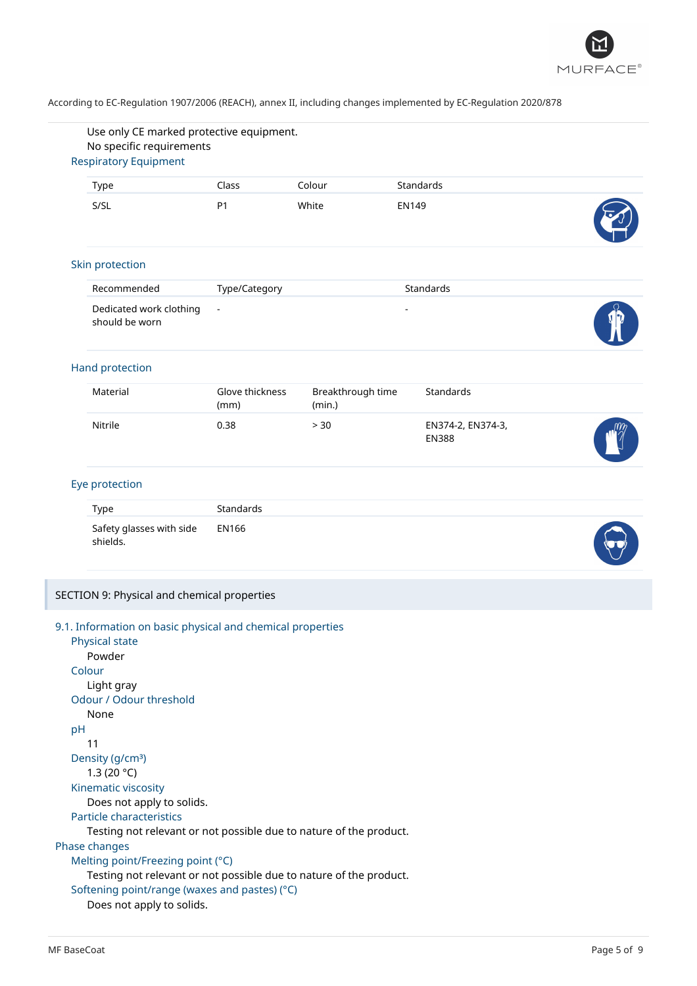

| <b>Respiratory Equipment</b>                                                         | No specific requirements |                             |                                   |  |
|--------------------------------------------------------------------------------------|--------------------------|-----------------------------|-----------------------------------|--|
|                                                                                      |                          |                             |                                   |  |
| Type                                                                                 | Class                    | Colour                      | Standards                         |  |
| S/SL                                                                                 | P <sub>1</sub>           | White                       | <b>EN149</b>                      |  |
| Skin protection                                                                      |                          |                             |                                   |  |
| Recommended                                                                          | Type/Category            |                             | Standards                         |  |
| Dedicated work clothing<br>should be worn                                            | $\blacksquare$           |                             |                                   |  |
| Hand protection                                                                      |                          |                             |                                   |  |
| Material                                                                             | Glove thickness<br>(mm)  | Breakthrough time<br>(min.) | Standards                         |  |
| Nitrile                                                                              | 0.38                     | > 30                        | EN374-2, EN374-3,<br><b>EN388</b> |  |
| Eye protection                                                                       |                          |                             |                                   |  |
| Type                                                                                 | Standards                |                             |                                   |  |
| Safety glasses with side<br>shields.                                                 | <b>EN166</b>             |                             |                                   |  |
| SECTION 9: Physical and chemical properties                                          |                          |                             |                                   |  |
| 9.1. Information on basic physical and chemical properties                           |                          |                             |                                   |  |
| Physical state<br>Powder                                                             |                          |                             |                                   |  |
| Colour                                                                               |                          |                             |                                   |  |
| Light gray                                                                           |                          |                             |                                   |  |
|                                                                                      |                          |                             |                                   |  |
|                                                                                      |                          |                             |                                   |  |
| None                                                                                 |                          |                             |                                   |  |
|                                                                                      |                          |                             |                                   |  |
| 11                                                                                   |                          |                             |                                   |  |
|                                                                                      |                          |                             |                                   |  |
| 1.3 (20 $^{\circ}$ C)                                                                |                          |                             |                                   |  |
| Odour / Odour threshold<br>pH<br>Density (g/cm <sup>3</sup> )<br>Kinematic viscosity |                          |                             |                                   |  |
| Does not apply to solids.                                                            |                          |                             |                                   |  |
| Testing not relevant or not possible due to nature of the product.                   |                          |                             |                                   |  |
| Particle characteristics<br>Phase changes                                            |                          |                             |                                   |  |
| Melting point/Freezing point (°C)                                                    |                          |                             |                                   |  |
| Testing not relevant or not possible due to nature of the product.                   |                          |                             |                                   |  |

Does not apply to solids.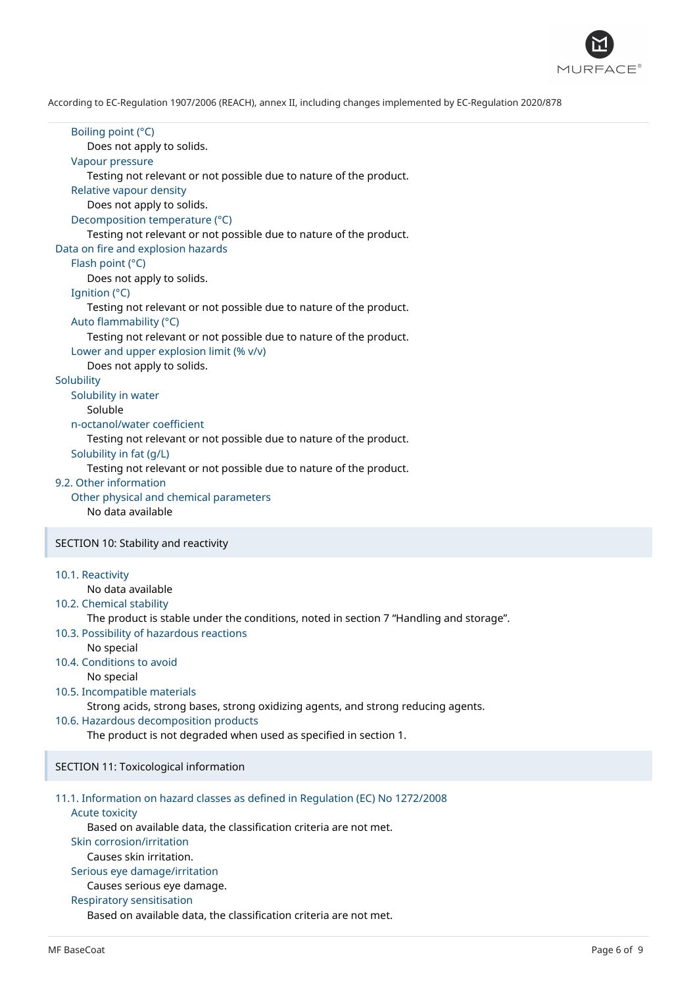

Boiling point (°C) Does not apply to solids. Vapour pressure Testing not relevant or not possible due to nature of the product. Relative vapour density Does not apply to solids. Decomposition temperature (°C) Testing not relevant or not possible due to nature of the product. Data on fire and explosion hazards Flash point (°C) Does not apply to solids. Ignition (°C) Testing not relevant or not possible due to nature of the product. Auto flammability (°C) Testing not relevant or not possible due to nature of the product. Lower and upper explosion limit (% v/v) Does not apply to solids. **Solubility** Solubility in water Soluble n-octanol/water coefficient Testing not relevant or not possible due to nature of the product. Solubility in fat (g/L) Testing not relevant or not possible due to nature of the product. 9.2. Other information Other physical and chemical parameters No data available SECTION 10: Stability and reactivity 10.1. Reactivity No data available

10.2. Chemical stability

The product is stable under the conditions, noted in section 7 "Handling and storage".

- 10.3. Possibility of hazardous reactions
- No special
- 10.4. Conditions to avoid

No special

10.5. Incompatible materials

Strong acids, strong bases, strong oxidizing agents, and strong reducing agents.

10.6. Hazardous decomposition products

The product is not degraded when used as specified in section 1.

SECTION 11: Toxicological information

## 11.1. Information on hazard classes as defined in Regulation (EC) No 1272/2008

Acute toxicity

Based on available data, the classification criteria are not met.

## Skin corrosion/irritation

Causes skin irritation.

## Serious eye damage/irritation

Causes serious eye damage.

Respiratory sensitisation

Based on available data, the classification criteria are not met.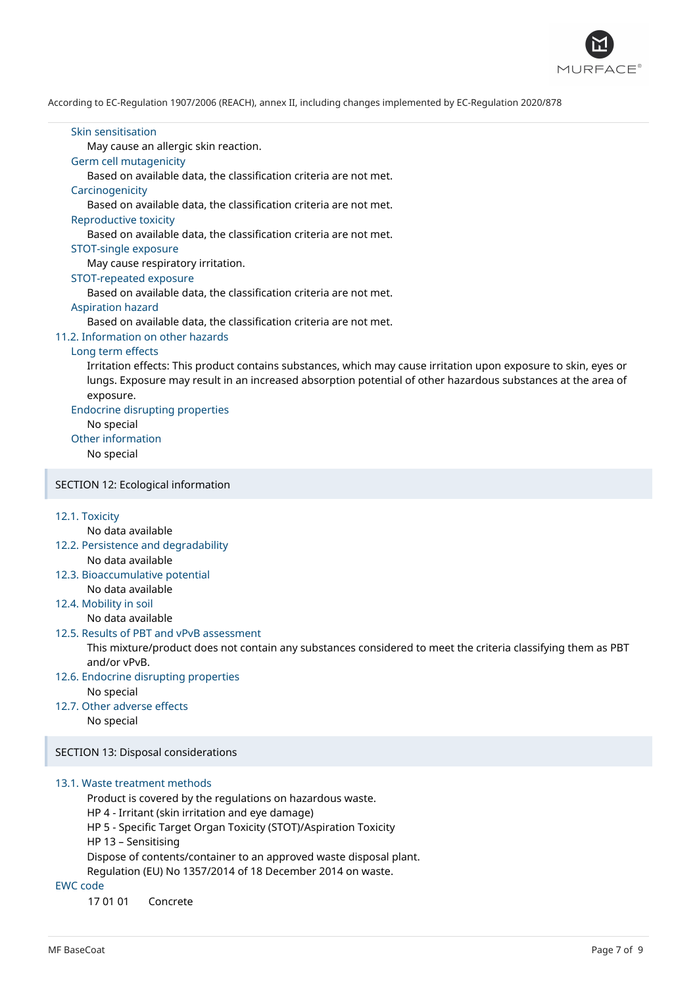

#### Skin sensitisation

May cause an allergic skin reaction.

## Germ cell mutagenicity

Based on available data, the classification criteria are not met.

#### **Carcinogenicity**

Based on available data, the classification criteria are not met.

#### Reproductive toxicity

Based on available data, the classification criteria are not met.

### STOT-single exposure

May cause respiratory irritation.

## STOT-repeated exposure

Based on available data, the classification criteria are not met.

### Aspiration hazard

Based on available data, the classification criteria are not met.

## 11.2. Information on other hazards

### Long term effects

Irritation effects: This product contains substances, which may cause irritation upon exposure to skin, eyes or lungs. Exposure may result in an increased absorption potential of other hazardous substances at the area of exposure.

## Endocrine disrupting properties

No special

Other information

No special

## SECTION 12: Ecological information

### 12.1. Toxicity

No data available

- 12.2. Persistence and degradability No data available
- 12.3. Bioaccumulative potential No data available
- 12.4. Mobility in soil

No data available

#### 12.5. Results of PBT and vPvB assessment

This mixture/product does not contain any substances considered to meet the criteria classifying them as PBT and/or vPvB.

## 12.6. Endocrine disrupting properties

No special

12.7. Other adverse effects No special

SECTION 13: Disposal considerations

### 13.1. Waste treatment methods

Product is covered by the regulations on hazardous waste. HP 4 - Irritant (skin irritation and eye damage) HP 5 - Specific Target Organ Toxicity (STOT)/Aspiration Toxicity HP 13 – Sensitising Dispose of contents/container to an approved waste disposal plant. Regulation (EU) No 1357/2014 of 18 December 2014 on waste.

## EWC code

17 01 01 Concrete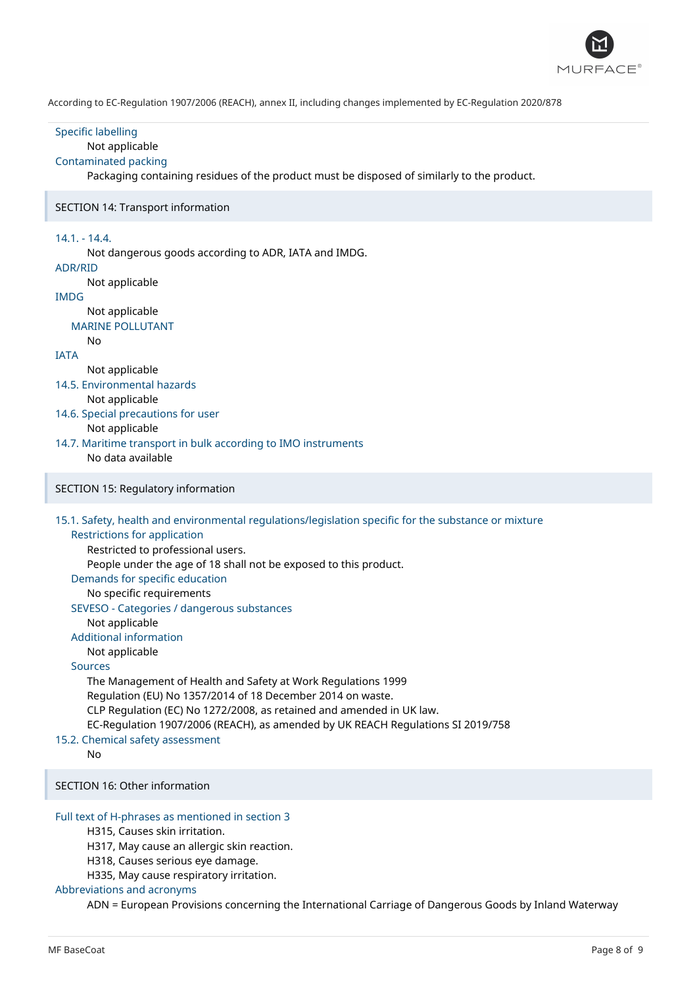

Specific labelling Not applicable Contaminated packing Packaging containing residues of the product must be disposed of similarly to the product. SECTION 14: Transport information 14.1. - 14.4. Not dangerous goods according to ADR, IATA and IMDG. ADR/RID Not applicable IMDG Not applicable MARINE POLLUTANT No IATA Not applicable 14.5. Environmental hazards Not applicable 14.6. Special precautions for user Not applicable 14.7. Maritime transport in bulk according to IMO instruments No data available SECTION 15: Regulatory information 15.1. Safety, health and environmental regulations/legislation specific for the substance or mixture Restrictions for application Restricted to professional users. People under the age of 18 shall not be exposed to this product. Demands for specific education No specific requirements SEVESO - Categories / dangerous substances Not applicable Additional information Not applicable Sources The Management of Health and Safety at Work Regulations 1999 Regulation (EU) No 1357/2014 of 18 December 2014 on waste. CLP Regulation (EC) No 1272/2008, as retained and amended in UK law. EC-Regulation 1907/2006 (REACH), as amended by UK REACH Regulations SI 2019/758 15.2. Chemical safety assessment No SECTION 16: Other information Full text of H-phrases as mentioned in section 3 H315, Causes skin irritation. H317, May cause an allergic skin reaction. H318, Causes serious eye damage. H335, May cause respiratory irritation. Abbreviations and acronyms

ADN = European Provisions concerning the International Carriage of Dangerous Goods by Inland Waterway